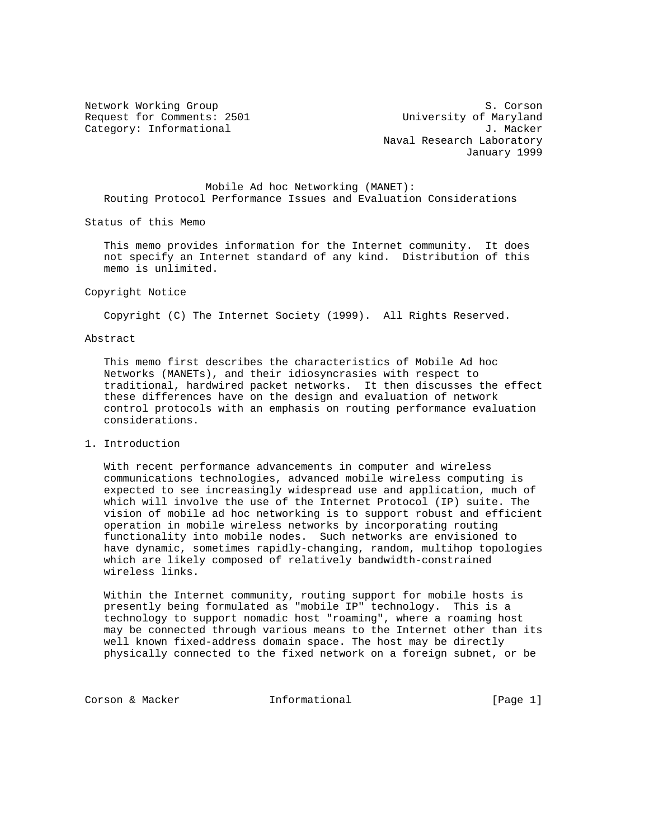Request for Comments: 2501 University of Maryland Category: Informational  $J.$  Macker

Network Working Group S. Corson Naval Research Laboratory January 1999

 Mobile Ad hoc Networking (MANET): Routing Protocol Performance Issues and Evaluation Considerations

Status of this Memo

 This memo provides information for the Internet community. It does not specify an Internet standard of any kind. Distribution of this memo is unlimited.

### Copyright Notice

Copyright (C) The Internet Society (1999). All Rights Reserved.

#### Abstract

 This memo first describes the characteristics of Mobile Ad hoc Networks (MANETs), and their idiosyncrasies with respect to traditional, hardwired packet networks. It then discusses the effect these differences have on the design and evaluation of network control protocols with an emphasis on routing performance evaluation considerations.

1. Introduction

 With recent performance advancements in computer and wireless communications technologies, advanced mobile wireless computing is expected to see increasingly widespread use and application, much of which will involve the use of the Internet Protocol (IP) suite. The vision of mobile ad hoc networking is to support robust and efficient operation in mobile wireless networks by incorporating routing functionality into mobile nodes. Such networks are envisioned to have dynamic, sometimes rapidly-changing, random, multihop topologies which are likely composed of relatively bandwidth-constrained wireless links.

 Within the Internet community, routing support for mobile hosts is presently being formulated as "mobile IP" technology. This is a technology to support nomadic host "roaming", where a roaming host may be connected through various means to the Internet other than its well known fixed-address domain space. The host may be directly physically connected to the fixed network on a foreign subnet, or be

Corson & Macker **Informational** [Page 1]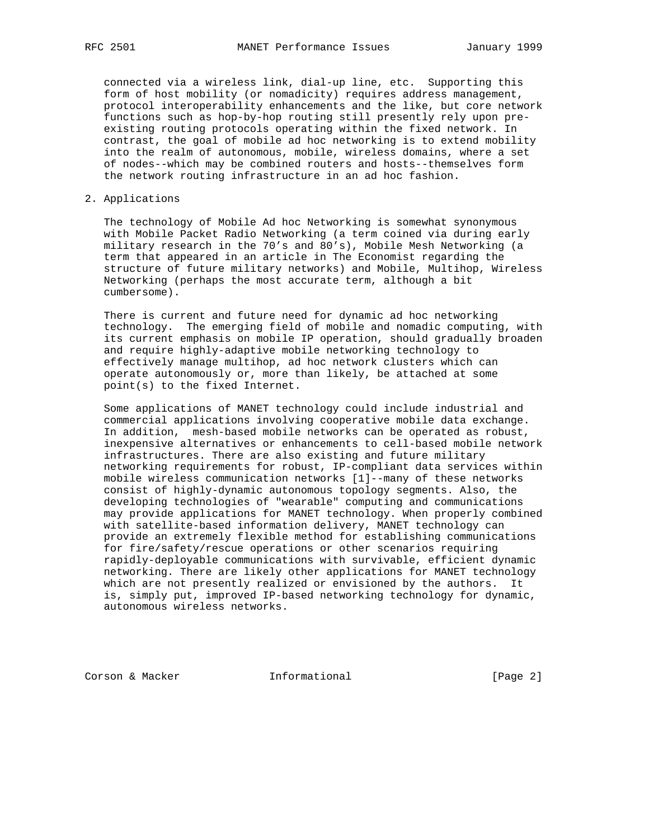connected via a wireless link, dial-up line, etc. Supporting this form of host mobility (or nomadicity) requires address management, protocol interoperability enhancements and the like, but core network functions such as hop-by-hop routing still presently rely upon pre existing routing protocols operating within the fixed network. In contrast, the goal of mobile ad hoc networking is to extend mobility into the realm of autonomous, mobile, wireless domains, where a set of nodes--which may be combined routers and hosts--themselves form the network routing infrastructure in an ad hoc fashion.

### 2. Applications

 The technology of Mobile Ad hoc Networking is somewhat synonymous with Mobile Packet Radio Networking (a term coined via during early military research in the 70's and 80's), Mobile Mesh Networking (a term that appeared in an article in The Economist regarding the structure of future military networks) and Mobile, Multihop, Wireless Networking (perhaps the most accurate term, although a bit cumbersome).

 There is current and future need for dynamic ad hoc networking technology. The emerging field of mobile and nomadic computing, with its current emphasis on mobile IP operation, should gradually broaden and require highly-adaptive mobile networking technology to effectively manage multihop, ad hoc network clusters which can operate autonomously or, more than likely, be attached at some point(s) to the fixed Internet.

 Some applications of MANET technology could include industrial and commercial applications involving cooperative mobile data exchange. In addition, mesh-based mobile networks can be operated as robust, inexpensive alternatives or enhancements to cell-based mobile network infrastructures. There are also existing and future military networking requirements for robust, IP-compliant data services within mobile wireless communication networks [1]--many of these networks consist of highly-dynamic autonomous topology segments. Also, the developing technologies of "wearable" computing and communications may provide applications for MANET technology. When properly combined with satellite-based information delivery, MANET technology can provide an extremely flexible method for establishing communications for fire/safety/rescue operations or other scenarios requiring rapidly-deployable communications with survivable, efficient dynamic networking. There are likely other applications for MANET technology which are not presently realized or envisioned by the authors. It is, simply put, improved IP-based networking technology for dynamic, autonomous wireless networks.

Corson & Macker **Informational** [Page 2]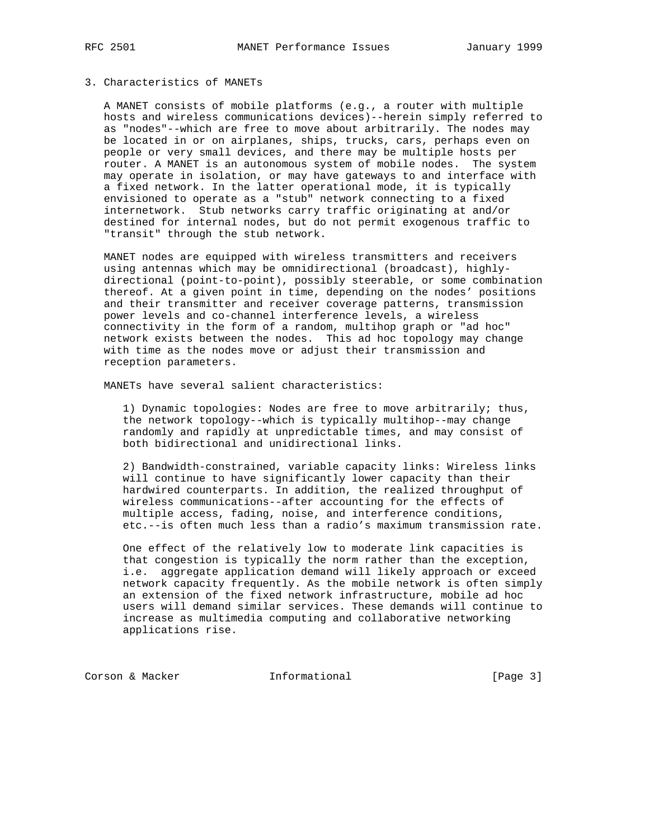# 3. Characteristics of MANETs

 A MANET consists of mobile platforms (e.g., a router with multiple hosts and wireless communications devices)--herein simply referred to as "nodes"--which are free to move about arbitrarily. The nodes may be located in or on airplanes, ships, trucks, cars, perhaps even on people or very small devices, and there may be multiple hosts per router. A MANET is an autonomous system of mobile nodes. The system may operate in isolation, or may have gateways to and interface with a fixed network. In the latter operational mode, it is typically envisioned to operate as a "stub" network connecting to a fixed internetwork. Stub networks carry traffic originating at and/or destined for internal nodes, but do not permit exogenous traffic to "transit" through the stub network.

 MANET nodes are equipped with wireless transmitters and receivers using antennas which may be omnidirectional (broadcast), highly directional (point-to-point), possibly steerable, or some combination thereof. At a given point in time, depending on the nodes' positions and their transmitter and receiver coverage patterns, transmission power levels and co-channel interference levels, a wireless connectivity in the form of a random, multihop graph or "ad hoc" network exists between the nodes. This ad hoc topology may change with time as the nodes move or adjust their transmission and reception parameters.

MANETs have several salient characteristics:

 1) Dynamic topologies: Nodes are free to move arbitrarily; thus, the network topology--which is typically multihop--may change randomly and rapidly at unpredictable times, and may consist of both bidirectional and unidirectional links.

 2) Bandwidth-constrained, variable capacity links: Wireless links will continue to have significantly lower capacity than their hardwired counterparts. In addition, the realized throughput of wireless communications--after accounting for the effects of multiple access, fading, noise, and interference conditions, etc.--is often much less than a radio's maximum transmission rate.

 One effect of the relatively low to moderate link capacities is that congestion is typically the norm rather than the exception, i.e. aggregate application demand will likely approach or exceed network capacity frequently. As the mobile network is often simply an extension of the fixed network infrastructure, mobile ad hoc users will demand similar services. These demands will continue to increase as multimedia computing and collaborative networking applications rise.

Corson & Macker **Informational** [Page 3]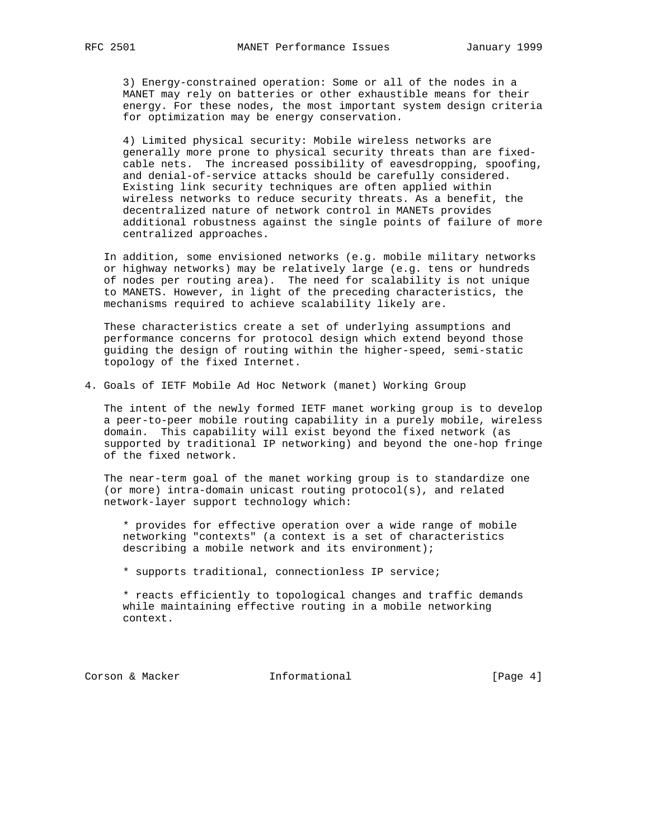3) Energy-constrained operation: Some or all of the nodes in a MANET may rely on batteries or other exhaustible means for their energy. For these nodes, the most important system design criteria for optimization may be energy conservation.

 4) Limited physical security: Mobile wireless networks are generally more prone to physical security threats than are fixed cable nets. The increased possibility of eavesdropping, spoofing, and denial-of-service attacks should be carefully considered. Existing link security techniques are often applied within wireless networks to reduce security threats. As a benefit, the decentralized nature of network control in MANETs provides additional robustness against the single points of failure of more centralized approaches.

 In addition, some envisioned networks (e.g. mobile military networks or highway networks) may be relatively large (e.g. tens or hundreds of nodes per routing area). The need for scalability is not unique to MANETS. However, in light of the preceding characteristics, the mechanisms required to achieve scalability likely are.

 These characteristics create a set of underlying assumptions and performance concerns for protocol design which extend beyond those guiding the design of routing within the higher-speed, semi-static topology of the fixed Internet.

4. Goals of IETF Mobile Ad Hoc Network (manet) Working Group

 The intent of the newly formed IETF manet working group is to develop a peer-to-peer mobile routing capability in a purely mobile, wireless domain. This capability will exist beyond the fixed network (as supported by traditional IP networking) and beyond the one-hop fringe of the fixed network.

 The near-term goal of the manet working group is to standardize one (or more) intra-domain unicast routing protocol(s), and related network-layer support technology which:

 \* provides for effective operation over a wide range of mobile networking "contexts" (a context is a set of characteristics describing a mobile network and its environment);

\* supports traditional, connectionless IP service;

 \* reacts efficiently to topological changes and traffic demands while maintaining effective routing in a mobile networking context.

Corson & Macker **Informational** [Page 4]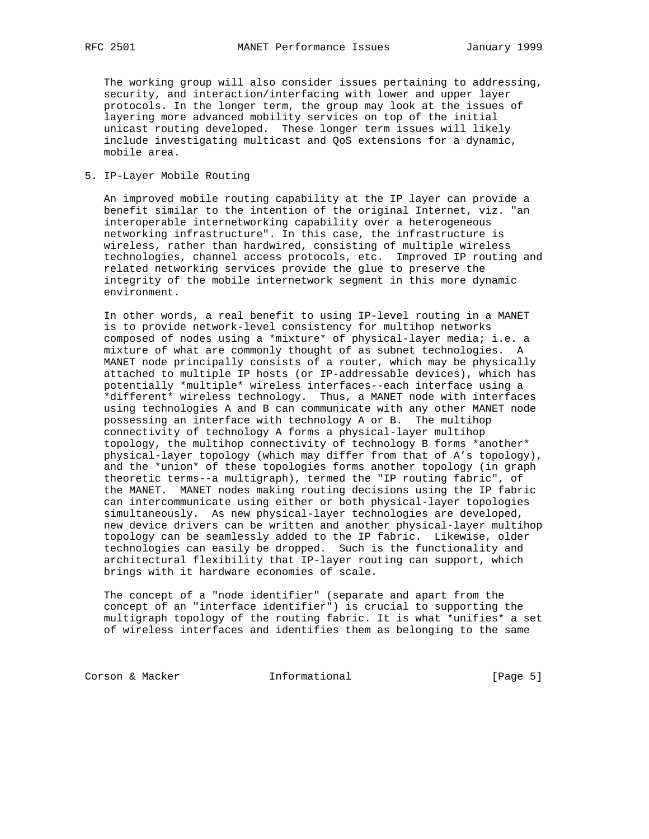The working group will also consider issues pertaining to addressing, security, and interaction/interfacing with lower and upper layer protocols. In the longer term, the group may look at the issues of layering more advanced mobility services on top of the initial unicast routing developed. These longer term issues will likely include investigating multicast and QoS extensions for a dynamic, mobile area.

# 5. IP-Layer Mobile Routing

 An improved mobile routing capability at the IP layer can provide a benefit similar to the intention of the original Internet, viz. "an interoperable internetworking capability over a heterogeneous networking infrastructure". In this case, the infrastructure is wireless, rather than hardwired, consisting of multiple wireless technologies, channel access protocols, etc. Improved IP routing and related networking services provide the glue to preserve the integrity of the mobile internetwork segment in this more dynamic environment.

 In other words, a real benefit to using IP-level routing in a MANET is to provide network-level consistency for multihop networks composed of nodes using a \*mixture\* of physical-layer media; i.e. a mixture of what are commonly thought of as subnet technologies. A MANET node principally consists of a router, which may be physically attached to multiple IP hosts (or IP-addressable devices), which has potentially \*multiple\* wireless interfaces--each interface using a \*different\* wireless technology. Thus, a MANET node with interfaces using technologies A and B can communicate with any other MANET node possessing an interface with technology A or B. The multihop connectivity of technology A forms a physical-layer multihop topology, the multihop connectivity of technology B forms \*another\* physical-layer topology (which may differ from that of A's topology), and the \*union\* of these topologies forms another topology (in graph theoretic terms--a multigraph), termed the "IP routing fabric", of the MANET. MANET nodes making routing decisions using the IP fabric can intercommunicate using either or both physical-layer topologies simultaneously. As new physical-layer technologies are developed, new device drivers can be written and another physical-layer multihop topology can be seamlessly added to the IP fabric. Likewise, older technologies can easily be dropped. Such is the functionality and architectural flexibility that IP-layer routing can support, which brings with it hardware economies of scale.

 The concept of a "node identifier" (separate and apart from the concept of an "interface identifier") is crucial to supporting the multigraph topology of the routing fabric. It is what \*unifies\* a set of wireless interfaces and identifies them as belonging to the same

Corson & Macker **Informational** [Page 5]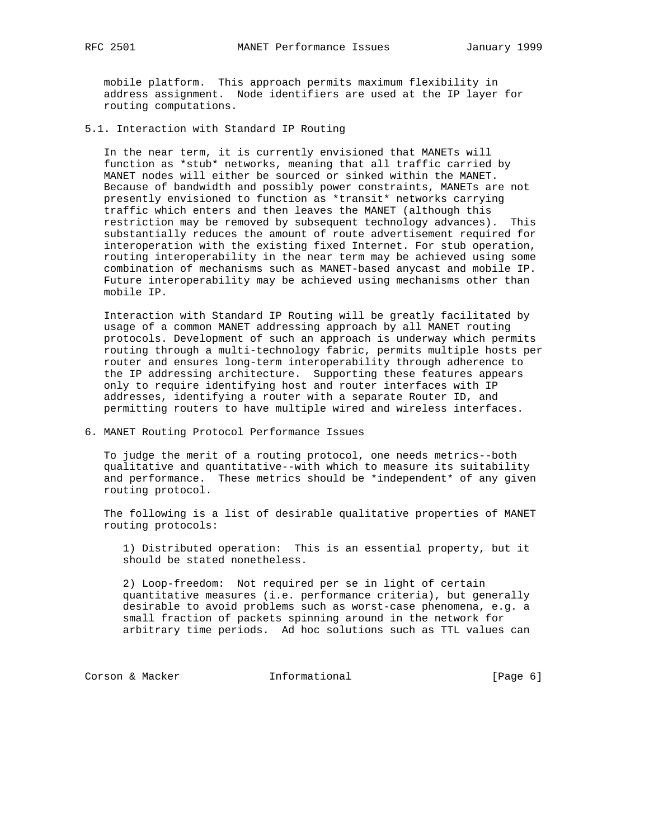mobile platform. This approach permits maximum flexibility in address assignment. Node identifiers are used at the IP layer for routing computations.

# 5.1. Interaction with Standard IP Routing

 In the near term, it is currently envisioned that MANETs will function as \*stub\* networks, meaning that all traffic carried by MANET nodes will either be sourced or sinked within the MANET. Because of bandwidth and possibly power constraints, MANETs are not presently envisioned to function as \*transit\* networks carrying traffic which enters and then leaves the MANET (although this restriction may be removed by subsequent technology advances). This substantially reduces the amount of route advertisement required for interoperation with the existing fixed Internet. For stub operation, routing interoperability in the near term may be achieved using some combination of mechanisms such as MANET-based anycast and mobile IP. Future interoperability may be achieved using mechanisms other than mobile IP.

 Interaction with Standard IP Routing will be greatly facilitated by usage of a common MANET addressing approach by all MANET routing protocols. Development of such an approach is underway which permits routing through a multi-technology fabric, permits multiple hosts per router and ensures long-term interoperability through adherence to the IP addressing architecture. Supporting these features appears only to require identifying host and router interfaces with IP addresses, identifying a router with a separate Router ID, and permitting routers to have multiple wired and wireless interfaces.

6. MANET Routing Protocol Performance Issues

 To judge the merit of a routing protocol, one needs metrics--both qualitative and quantitative--with which to measure its suitability and performance. These metrics should be \*independent\* of any given routing protocol.

 The following is a list of desirable qualitative properties of MANET routing protocols:

 1) Distributed operation: This is an essential property, but it should be stated nonetheless.

 2) Loop-freedom: Not required per se in light of certain quantitative measures (i.e. performance criteria), but generally desirable to avoid problems such as worst-case phenomena, e.g. a small fraction of packets spinning around in the network for arbitrary time periods. Ad hoc solutions such as TTL values can

Corson & Macker Informational [Page 6]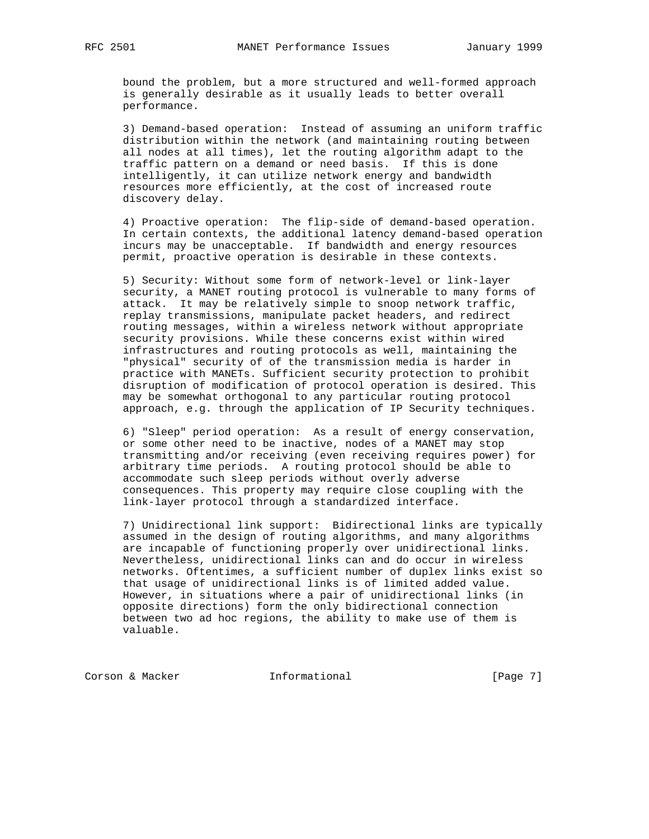bound the problem, but a more structured and well-formed approach is generally desirable as it usually leads to better overall performance.

 3) Demand-based operation: Instead of assuming an uniform traffic distribution within the network (and maintaining routing between all nodes at all times), let the routing algorithm adapt to the traffic pattern on a demand or need basis. If this is done intelligently, it can utilize network energy and bandwidth resources more efficiently, at the cost of increased route discovery delay.

 4) Proactive operation: The flip-side of demand-based operation. In certain contexts, the additional latency demand-based operation incurs may be unacceptable. If bandwidth and energy resources permit, proactive operation is desirable in these contexts.

 5) Security: Without some form of network-level or link-layer security, a MANET routing protocol is vulnerable to many forms of attack. It may be relatively simple to snoop network traffic, replay transmissions, manipulate packet headers, and redirect routing messages, within a wireless network without appropriate security provisions. While these concerns exist within wired infrastructures and routing protocols as well, maintaining the "physical" security of of the transmission media is harder in practice with MANETs. Sufficient security protection to prohibit disruption of modification of protocol operation is desired. This may be somewhat orthogonal to any particular routing protocol approach, e.g. through the application of IP Security techniques.

 6) "Sleep" period operation: As a result of energy conservation, or some other need to be inactive, nodes of a MANET may stop transmitting and/or receiving (even receiving requires power) for arbitrary time periods. A routing protocol should be able to accommodate such sleep periods without overly adverse consequences. This property may require close coupling with the link-layer protocol through a standardized interface.

 7) Unidirectional link support: Bidirectional links are typically assumed in the design of routing algorithms, and many algorithms are incapable of functioning properly over unidirectional links. Nevertheless, unidirectional links can and do occur in wireless networks. Oftentimes, a sufficient number of duplex links exist so that usage of unidirectional links is of limited added value. However, in situations where a pair of unidirectional links (in opposite directions) form the only bidirectional connection between two ad hoc regions, the ability to make use of them is valuable.

Corson & Macker **Informational** [Page 7]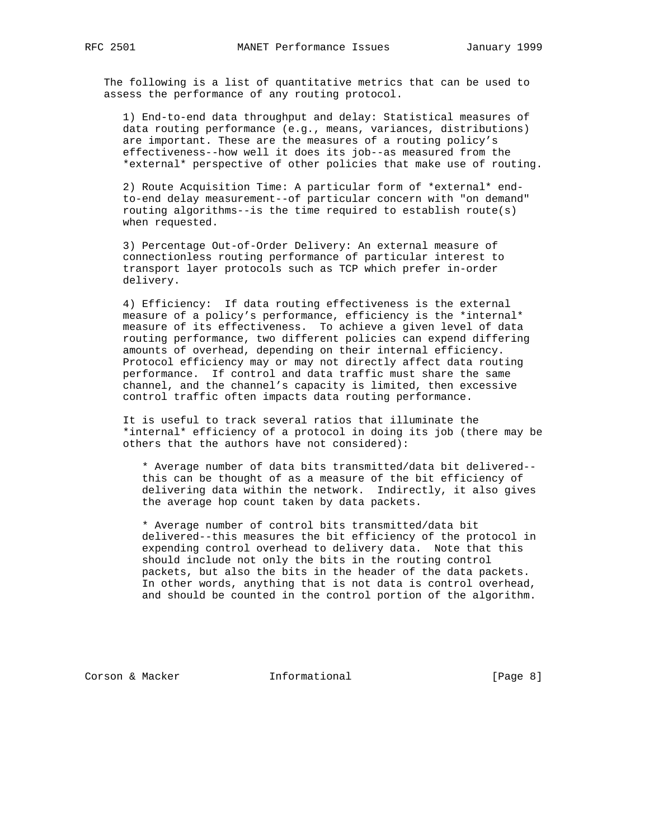The following is a list of quantitative metrics that can be used to assess the performance of any routing protocol.

 1) End-to-end data throughput and delay: Statistical measures of data routing performance (e.g., means, variances, distributions) are important. These are the measures of a routing policy's effectiveness--how well it does its job--as measured from the \*external\* perspective of other policies that make use of routing.

 2) Route Acquisition Time: A particular form of \*external\* end to-end delay measurement--of particular concern with "on demand" routing algorithms--is the time required to establish route(s) when requested.

 3) Percentage Out-of-Order Delivery: An external measure of connectionless routing performance of particular interest to transport layer protocols such as TCP which prefer in-order delivery.

 4) Efficiency: If data routing effectiveness is the external measure of a policy's performance, efficiency is the \*internal\* measure of its effectiveness. To achieve a given level of data routing performance, two different policies can expend differing amounts of overhead, depending on their internal efficiency. Protocol efficiency may or may not directly affect data routing performance. If control and data traffic must share the same channel, and the channel's capacity is limited, then excessive control traffic often impacts data routing performance.

 It is useful to track several ratios that illuminate the \*internal\* efficiency of a protocol in doing its job (there may be others that the authors have not considered):

 \* Average number of data bits transmitted/data bit delivered- this can be thought of as a measure of the bit efficiency of delivering data within the network. Indirectly, it also gives the average hop count taken by data packets.

 \* Average number of control bits transmitted/data bit delivered--this measures the bit efficiency of the protocol in expending control overhead to delivery data. Note that this should include not only the bits in the routing control packets, but also the bits in the header of the data packets. In other words, anything that is not data is control overhead, and should be counted in the control portion of the algorithm.

Corson & Macker **Informational** [Page 8]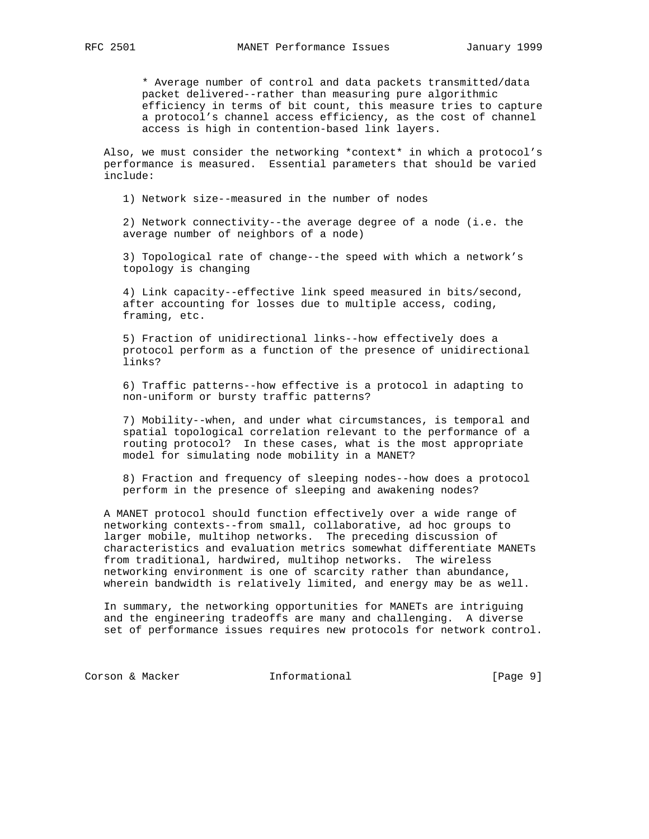\* Average number of control and data packets transmitted/data packet delivered--rather than measuring pure algorithmic efficiency in terms of bit count, this measure tries to capture a protocol's channel access efficiency, as the cost of channel access is high in contention-based link layers.

 Also, we must consider the networking \*context\* in which a protocol's performance is measured. Essential parameters that should be varied include:

1) Network size--measured in the number of nodes

 2) Network connectivity--the average degree of a node (i.e. the average number of neighbors of a node)

 3) Topological rate of change--the speed with which a network's topology is changing

 4) Link capacity--effective link speed measured in bits/second, after accounting for losses due to multiple access, coding, framing, etc.

 5) Fraction of unidirectional links--how effectively does a protocol perform as a function of the presence of unidirectional links?

 6) Traffic patterns--how effective is a protocol in adapting to non-uniform or bursty traffic patterns?

 7) Mobility--when, and under what circumstances, is temporal and spatial topological correlation relevant to the performance of a routing protocol? In these cases, what is the most appropriate model for simulating node mobility in a MANET?

 8) Fraction and frequency of sleeping nodes--how does a protocol perform in the presence of sleeping and awakening nodes?

 A MANET protocol should function effectively over a wide range of networking contexts--from small, collaborative, ad hoc groups to larger mobile, multihop networks. The preceding discussion of characteristics and evaluation metrics somewhat differentiate MANETs from traditional, hardwired, multihop networks. The wireless networking environment is one of scarcity rather than abundance, wherein bandwidth is relatively limited, and energy may be as well.

 In summary, the networking opportunities for MANETs are intriguing and the engineering tradeoffs are many and challenging. A diverse set of performance issues requires new protocols for network control.

Corson & Macker **Informational** [Page 9]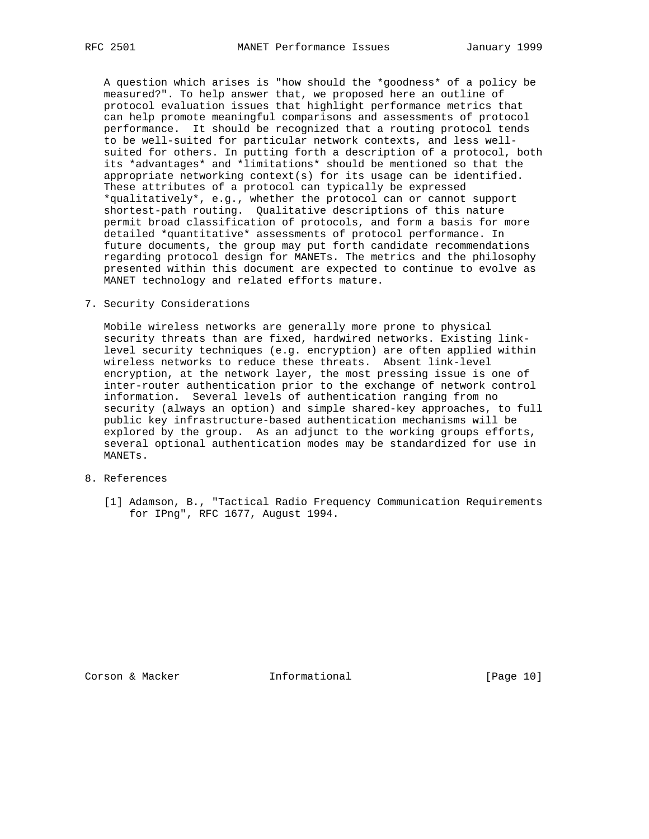A question which arises is "how should the \*goodness\* of a policy be measured?". To help answer that, we proposed here an outline of protocol evaluation issues that highlight performance metrics that can help promote meaningful comparisons and assessments of protocol performance. It should be recognized that a routing protocol tends to be well-suited for particular network contexts, and less well suited for others. In putting forth a description of a protocol, both its \*advantages\* and \*limitations\* should be mentioned so that the appropriate networking context(s) for its usage can be identified. These attributes of a protocol can typically be expressed \*qualitatively\*, e.g., whether the protocol can or cannot support shortest-path routing. Qualitative descriptions of this nature permit broad classification of protocols, and form a basis for more detailed \*quantitative\* assessments of protocol performance. In future documents, the group may put forth candidate recommendations regarding protocol design for MANETs. The metrics and the philosophy presented within this document are expected to continue to evolve as MANET technology and related efforts mature.

7. Security Considerations

 Mobile wireless networks are generally more prone to physical security threats than are fixed, hardwired networks. Existing link level security techniques (e.g. encryption) are often applied within wireless networks to reduce these threats. Absent link-level encryption, at the network layer, the most pressing issue is one of inter-router authentication prior to the exchange of network control information. Several levels of authentication ranging from no security (always an option) and simple shared-key approaches, to full public key infrastructure-based authentication mechanisms will be explored by the group. As an adjunct to the working groups efforts, several optional authentication modes may be standardized for use in MANETs.

- 8. References
	- [1] Adamson, B., "Tactical Radio Frequency Communication Requirements for IPng", RFC 1677, August 1994.

Corson & Macker Informational [Page 10]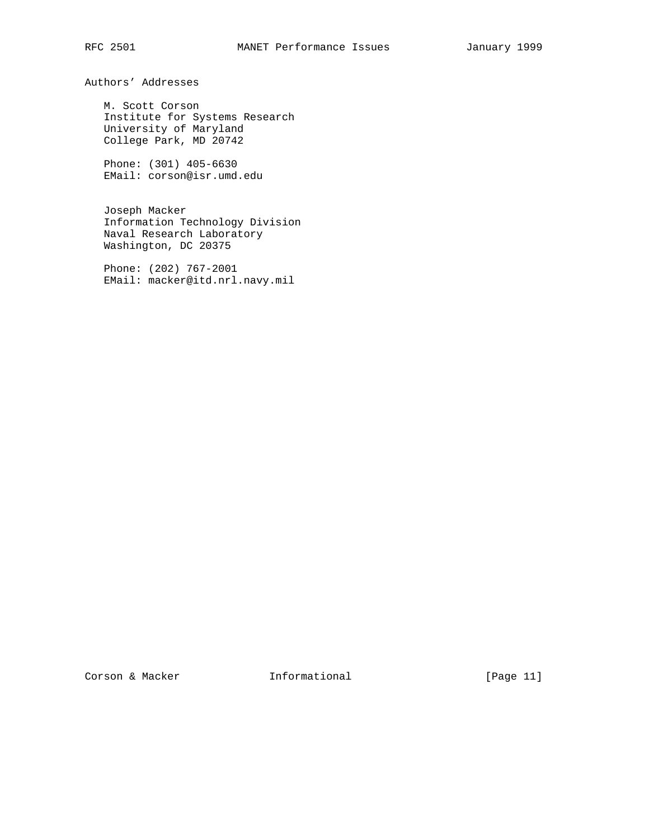Authors' Addresses

 M. Scott Corson Institute for Systems Research University of Maryland College Park, MD 20742

 Phone: (301) 405-6630 EMail: corson@isr.umd.edu

 Joseph Macker Information Technology Division Naval Research Laboratory Washington, DC 20375

 Phone: (202) 767-2001 EMail: macker@itd.nrl.navy.mil